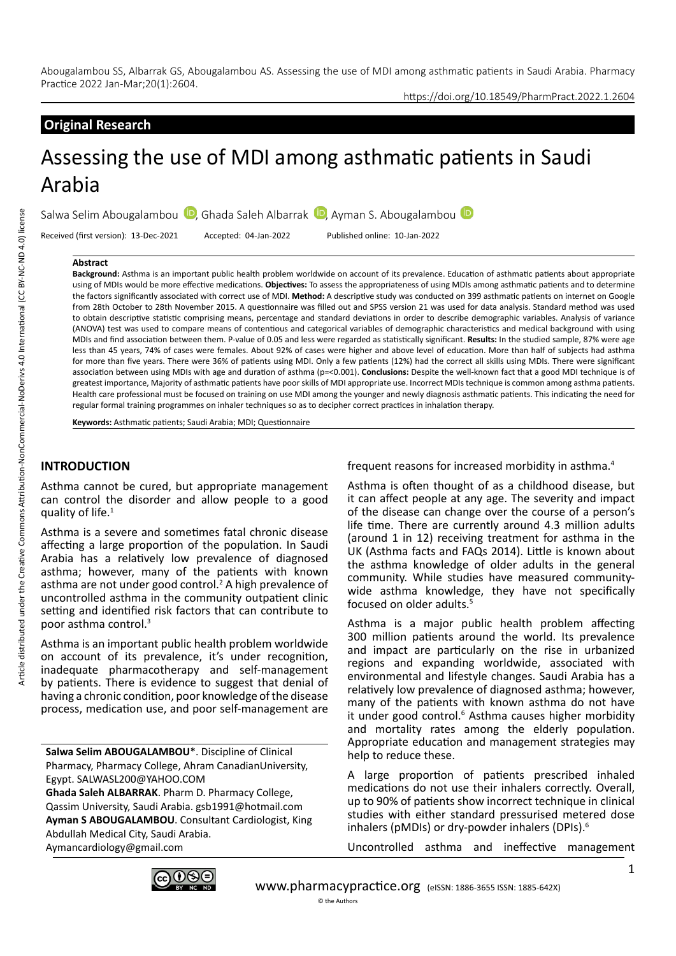# **Original Research**

# Assessing the use of MDI among asthmatic patients in Saudi Arabia

Salwa Selim Abougalambou (D[,](https://orcid.org/0000-0002-3913-0553) GhadaSaleh Albarrak (D, Ayman S. Abougalambou (D)

Received (first version): 13-Dec-2021 Accepted: 04-Jan-2022 Published online: 10-Jan-2022

#### **Abstract**

**Background:** Asthma is an important public health problem worldwide on account of its prevalence. Education of asthmatic patients about appropriate using of MDIs would be more effective medications. **Objectives:** To assess the appropriateness of using MDIs among asthmatic patients and to determine the factors significantly associated with correct use of MDI. **Method:** A descriptive study was conducted on 399 asthmatic patients on internet on Google from 28th October to 28th November 2015. A questionnaire was filled out and SPSS version 21 was used for data analysis. Standard method was used to obtain descriptive statistic comprising means, percentage and standard deviations in order to describe demographic variables. Analysis of variance (ANOVA) test was used to compare means of contentious and categorical variables of demographic characteristics and medical background with using MDIs and find association between them. P-value of 0.05 and less were regarded as statistically significant. **Results:** In the studied sample, 87% were age less than 45 years, 74% of cases were females. About 92% of cases were higher and above level of education. More than half of subjects had asthma for more than five years. There were 36% of patients using MDI. Only a few patients (12%) had the correct all skills using MDIs. There were significant association between using MDIs with age and duration of asthma (p=<0.001). **Conclusions:** Despite the well-known fact that a good MDI technique is of greatest importance, Majority of asthmatic patients have poor skills of MDI appropriate use. Incorrect MDIs technique is common among asthma patients. Health care professional must be focused on training on use MDI among the younger and newly diagnosis asthmatic patients. This indicating the need for regular formal training programmes on inhaler techniques so as to decipher correct practices in inhalation therapy.

**Keywords:** Asthmatic patients; Saudi Arabia; MDI; Questionnaire

# **INTRODUCTION**

Asthma cannot be cured, but appropriate management can control the disorder and allow people to a good quality of life.<sup>1</sup>

Asthma is a severe and sometimes fatal chronic disease affecting a large proportion of the population. In Saudi Arabia has a relatively low prevalence of diagnosed asthma; however, many of the patients with known asthma are not under good control.<sup>2</sup> A high prevalence of uncontrolled asthma in the community outpatient clinic setting and identified risk factors that can contribute to poor asthma control.3

Asthma is an important public health problem worldwide on account of its prevalence, it's under recognition, inadequate pharmacotherapy and self-management by patients. There is evidence to suggest that denial of having a chronic condition, poor knowledge of the disease process, medication use, and poor self-management are

**Salwa Selim ABOUGALAMBOU**\*. Discipline of Clinical Pharmacy, Pharmacy College, Ahram CanadianUniversity, Egypt. SALWASL200@YAHOO.COM **Ghada Saleh ALBARRAK**. Pharm D. Pharmacy College, Qassim University, Saudi Arabia. gsb1991@hotmail.com **Ayman S ABOUGALAMBOU**. Consultant Cardiologist, King Abdullah Medical City, Saudi Arabia.

Aymancardiology@gmail.com

frequent reasons for increased morbidity in asthma.4

https://doi.org/10.18549/PharmPract.2022.1.2604

Asthma is often thought of as a childhood disease, but it can affect people at any age. The severity and impact of the disease can change over the course of a person's life time. There are currently around 4.3 million adults (around 1 in 12) receiving treatment for asthma in the UK (Asthma facts and FAQs 2014). Little is known about the asthma knowledge of older adults in the general community. While studies have measured communitywide asthma knowledge, they have not specifically focused on older adults.<sup>5</sup>

Asthma is a major public health problem affecting 300 million patients around the world. Its prevalence and impact are particularly on the rise in urbanized regions and expanding worldwide, associated with environmental and lifestyle changes. Saudi Arabia has a relatively low prevalence of diagnosed asthma; however, many of the patients with known asthma do not have it under good control.<sup>6</sup> Asthma causes higher morbidity and mortality rates among the elderly population. Appropriate education and management strategies may help to reduce these.

A large proportion of patients prescribed inhaled medications do not use their inhalers correctly. Overall, up to 90% of patients show incorrect technique in clinical studies with either standard pressurised metered dose inhalers (pMDIs) or dry-powder inhalers (DPIs).6

Uncontrolled asthma and ineffective management

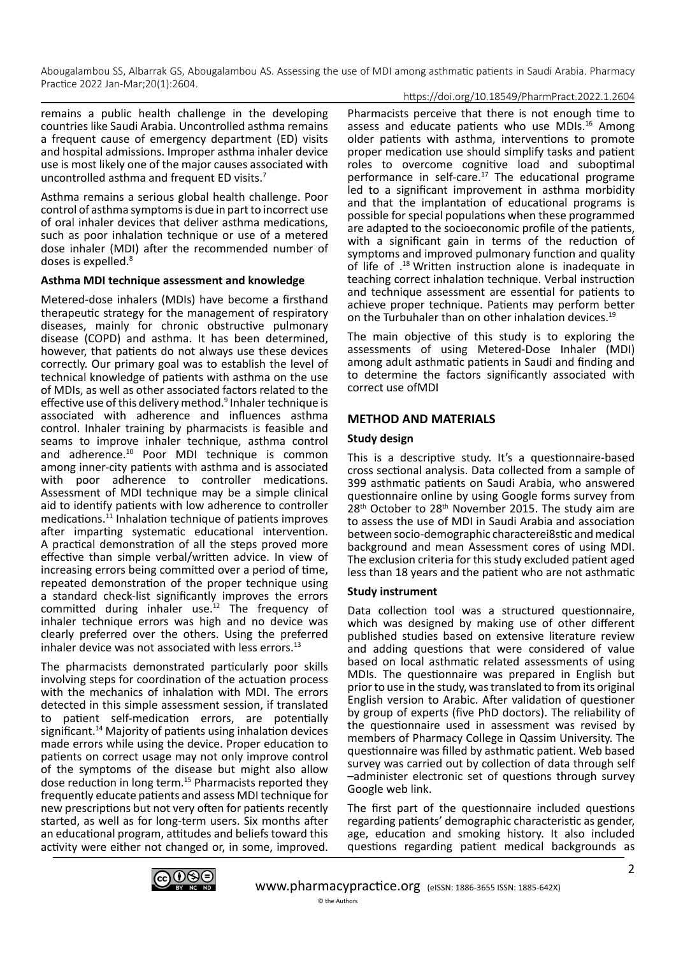#### https://doi.org/10.18549/PharmPract.2022.1.2604

remains a public health challenge in the developing countries like Saudi Arabia. Uncontrolled asthma remains a frequent cause of emergency department (ED) visits and hospital admissions. Improper asthma inhaler device use is most likely one of the major causes associated with uncontrolled asthma and frequent ED visits.7

Asthma remains a serious global health challenge. Poor control of asthma symptoms is due in part to incorrect use of oral inhaler devices that deliver asthma medications, such as poor inhalation technique or use of a metered dose inhaler (MDI) after the recommended number of doses is expelled.<sup>8</sup>

#### **Asthma MDI technique assessment and knowledge**

Metered-dose inhalers (MDIs) have become a firsthand therapeutic strategy for the management of respiratory diseases, mainly for chronic obstructive pulmonary disease (COPD) and asthma. It has been determined, however, that patients do not always use these devices correctly. Our primary goal was to establish the level of technical knowledge of patients with asthma on the use of MDIs, as well as other associated factors related to the effective use of this delivery method.<sup>9</sup> Inhaler technique is associated with adherence and influences asthma control. Inhaler training by pharmacists is feasible and seams to improve inhaler technique, asthma control and adherence.10 Poor MDI technique is common among inner-city patients with asthma and is associated with poor adherence to controller medications. Assessment of MDI technique may be a simple clinical aid to identify patients with low adherence to controller medications.<sup>11</sup> Inhalation technique of patients improves after imparting systematic educational intervention. A practical demonstration of all the steps proved more effective than simple verbal/written advice. In view of increasing errors being committed over a period of time, repeated demonstration of the proper technique using a standard check-list significantly improves the errors committed during inhaler use.<sup>12</sup> The frequency of inhaler technique errors was high and no device was clearly preferred over the others. Using the preferred inhaler device was not associated with less errors.<sup>13</sup>

The pharmacists demonstrated particularly poor skills involving steps for coordination of the actuation process with the mechanics of inhalation with MDI. The errors detected in this simple assessment session, if translated to patient self-medication errors, are potentially significant.<sup>14</sup> Majority of patients using inhalation devices made errors while using the device. Proper education to patients on correct usage may not only improve control of the symptoms of the disease but might also allow dose reduction in long term.15 Pharmacists reported they frequently educate patients and assess MDI technique for new prescriptions but not very often for patients recently started, as well as for long-term users. Six months after an educational program, attitudes and beliefs toward this activity were either not changed or, in some, improved.

Pharmacists perceive that there is not enough time to assess and educate patients who use MDIs.<sup>16</sup> Among older patients with asthma, interventions to promote proper medication use should simplify tasks and patient roles to overcome cognitive load and suboptimal performance in self-care.17 The educational programe led to a significant improvement in asthma morbidity and that the implantation of educational programs is possible for special populations when these programmed are adapted to the socioeconomic profile of the patients, with a significant gain in terms of the reduction of symptoms and improved pulmonary function and quality of life of . 18 Written instruction alone is inadequate in teaching correct inhalation technique. Verbal instruction and technique assessment are essential for patients to achieve proper technique. Patients may perform better on the Turbuhaler than on other inhalation devices.<sup>19</sup>

The main objective of this study is to exploring the assessments of using Metered-Dose Inhaler (MDI) among adult asthmatic patients in Saudi and finding and to determine the factors significantly associated with correct use ofMDI

# **METHOD AND MATERIALS**

## **Study design**

This is a descriptive study. It's a questionnaire-based cross sectional analysis. Data collected from a sample of 399 asthmatic patients on Saudi Arabia, who answered questionnaire online by using Google forms survey from 28<sup>th</sup> October to 28<sup>th</sup> November 2015. The study aim are to assess the use of MDI in Saudi Arabia and association between socio-demographic characterei8stic and medical background and mean Assessment cores of using MDI. The exclusion criteria for this study excluded patient aged less than 18 years and the patient who are not asthmatic

## **Study instrument**

Data collection tool was a structured questionnaire, which was designed by making use of other different published studies based on extensive literature review and adding questions that were considered of value based on local asthmatic related assessments of using MDIs. The questionnaire was prepared in English but prior to use in the study, was translated to from its original English version to Arabic. After validation of questioner by group of experts (five PhD doctors). The reliability of the questionnaire used in assessment was revised by members of Pharmacy College in Qassim University. The questionnaire was filled by asthmatic patient. Web based survey was carried out by collection of data through self –administer electronic set of questions through survey Google web link.

The first part of the questionnaire included questions regarding patients' demographic characteristic as gender, age, education and smoking history. It also included questions regarding patient medical backgrounds as

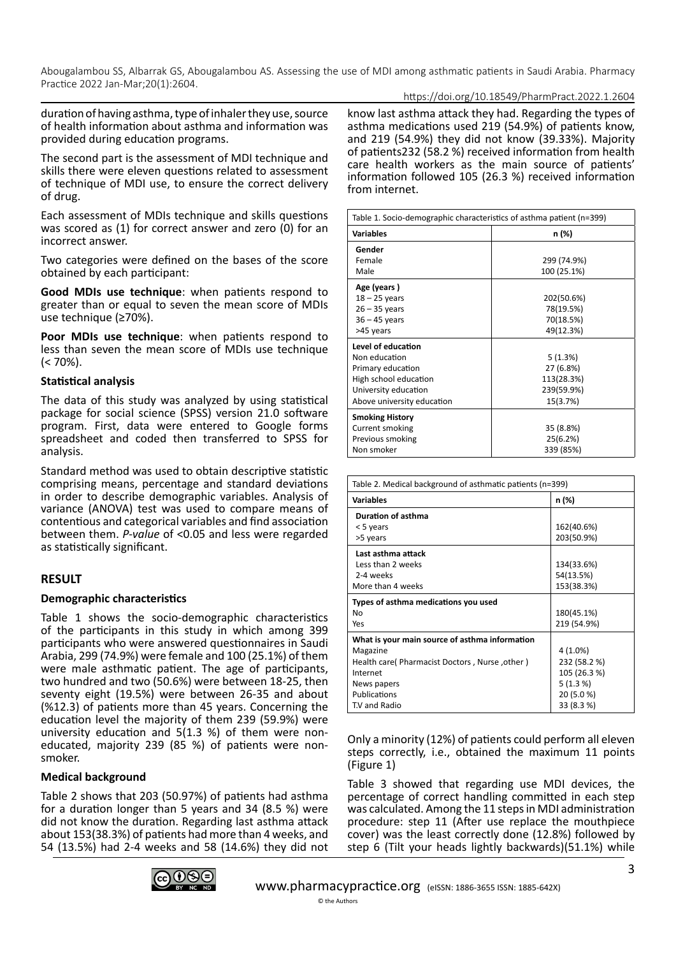https://doi.org/10.18549/PharmPract.2022.1.2604

duration of having asthma, type of inhaler they use, source of health information about asthma and information was provided during education programs.

The second part is the assessment of MDI technique and skills there were eleven questions related to assessment of technique of MDI use, to ensure the correct delivery of drug.

Each assessment of MDIs technique and skills questions was scored as (1) for correct answer and zero (0) for an incorrect answer.

Two categories were defined on the bases of the score obtained by each participant:

**Good MDIs use technique**: when patients respond to greater than or equal to seven the mean score of MDIs use technique (≥70%).

**Poor MDIs use technique**: when patients respond to less than seven the mean score of MDIs use technique  $(< 70\%)$ .

## **Statistical analysis**

The data of this study was analyzed by using statistical package for social science (SPSS) version 21.0 software program. First, data were entered to Google forms spreadsheet and coded then transferred to SPSS for analysis.

Standard method was used to obtain descriptive statistic comprising means, percentage and standard deviations in order to describe demographic variables. Analysis of variance (ANOVA) test was used to compare means of contentious and categorical variables and find association between them. *P-value* of <0.05 and less were regarded as statistically significant.

# **RESULT**

## **Demographic characteristics**

Table 1 shows the socio-demographic characteristics of the participants in this study in which among 399 participants who were answered questionnaires in Saudi Arabia, 299 (74.9%) were female and 100 (25.1%) of them were male asthmatic patient. The age of participants, two hundred and two (50.6%) were between 18-25, then seventy eight (19.5%) were between 26-35 and about (%12.3) of patients more than 45 years. Concerning the education level the majority of them 239 (59.9%) were university education and 5(1.3 %) of them were noneducated, majority 239 (85 %) of patients were nonsmoker.

## **Medical background**

Table 2 shows that 203 (50.97%) of patients had asthma for a duration longer than 5 years and 34 (8.5 %) were did not know the duration. Regarding last asthma attack about 153(38.3%) of patients had more than 4 weeks, and 54 (13.5%) had 2-4 weeks and 58 (14.6%) they did not



know last asthma attack they had. Regarding the types of asthma medications used 219 (54.9%) of patients know, and 219 (54.9%) they did not know (39.33%). Majority of patients232 (58.2 %) received information from health care health workers as the main source of patients' information followed 105 (26.3 %) received information from internet.

| Table 1. Socio-demographic characteristics of asthma patient (n=399) |                            |  |  |
|----------------------------------------------------------------------|----------------------------|--|--|
| <b>Variables</b>                                                     | n (%)                      |  |  |
| Gender                                                               |                            |  |  |
| Female<br>Male                                                       | 299 (74.9%)<br>100 (25.1%) |  |  |
|                                                                      |                            |  |  |
| Age (years)                                                          |                            |  |  |
| $18 - 25$ years                                                      | 202(50.6%)                 |  |  |
| $26 - 35$ years                                                      | 78(19.5%)                  |  |  |
| $36 - 45$ years                                                      | 70(18.5%)                  |  |  |
| >45 years                                                            | 49(12.3%)                  |  |  |
| Level of education                                                   |                            |  |  |
| Non education                                                        | 5(1.3%)                    |  |  |
| Primary education                                                    | 27 (6.8%)                  |  |  |
| High school education                                                | 113(28.3%)                 |  |  |
| University education                                                 | 239(59.9%)                 |  |  |
| Above university education                                           | 15(3.7%)                   |  |  |
| <b>Smoking History</b>                                               |                            |  |  |
| Current smoking                                                      | 35 (8.8%)                  |  |  |
| Previous smoking                                                     | 25(6.2%)                   |  |  |
| Non smoker                                                           | 339 (85%)                  |  |  |

| Table 2. Medical background of asthmatic patients (n=399) |              |  |  |
|-----------------------------------------------------------|--------------|--|--|
| <b>Variables</b>                                          | n (%)        |  |  |
| Duration of asthma                                        |              |  |  |
| < 5 years                                                 | 162(40.6%)   |  |  |
| >5 years                                                  | 203(50.9%)   |  |  |
| Last asthma attack                                        |              |  |  |
| Less than 2 weeks                                         | 134(33.6%)   |  |  |
| 2-4 weeks                                                 | 54(13.5%)    |  |  |
| More than 4 weeks                                         | 153(38.3%)   |  |  |
|                                                           |              |  |  |
| Types of asthma medications you used                      |              |  |  |
| NΩ                                                        | 180(45.1%)   |  |  |
| Yes                                                       | 219 (54.9%)  |  |  |
| What is your main source of asthma information            |              |  |  |
| Magazine                                                  | 4 (1.0%)     |  |  |
| Health care(Pharmacist Doctors, Nurse, other)             | 232 (58.2 %) |  |  |
| Internet                                                  | 105 (26.3 %) |  |  |
| News papers                                               | 5(1.3%)      |  |  |
| Publications                                              | 20 (5.0 %)   |  |  |

Only a minority (12%) of patients could perform all eleven steps correctly, i.e., obtained the maximum 11 points (Figure 1)

Table 3 showed that regarding use MDI devices, the percentage of correct handling committed in each step was calculated. Among the 11 steps in MDI administration procedure: step 11 (After use replace the mouthpiece cover) was the least correctly done (12.8%) followed by step 6 (Tilt your heads lightly backwards)(51.1%) while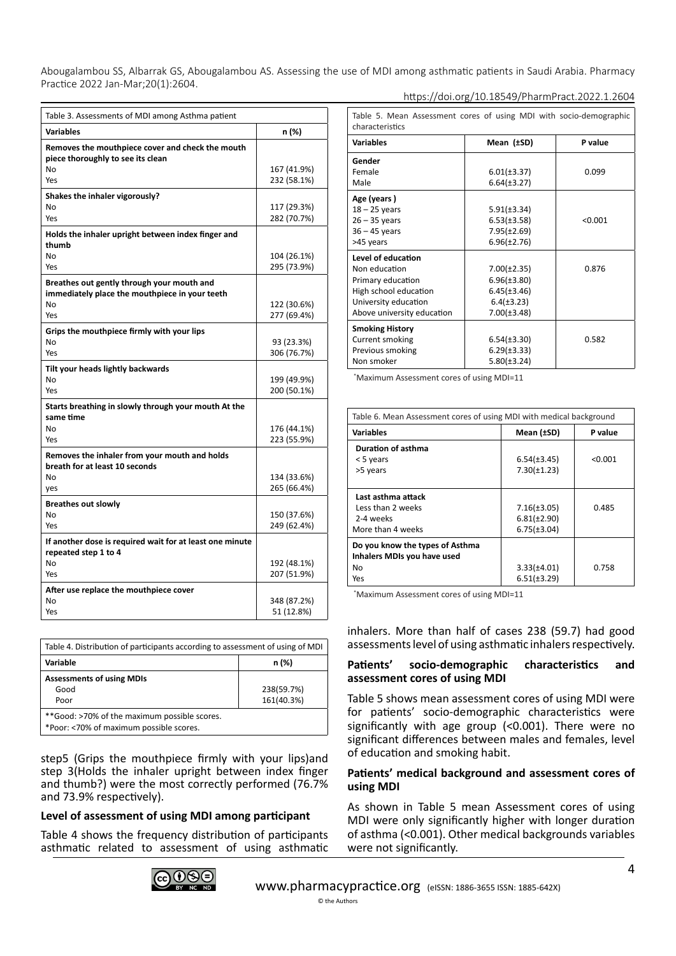Abougalambou SS, Albarrak GS, Abougalambou AS. Assessing the use of MDI among asthmatic patients in Saudi Arabia. Pharmacy Practice 2022 Jan-Mar;20(1):2604. https://doi.org/10.18549/PharmPract.2022.1.2604

| Table 3. Assessments of MDI among Asthma patient                                             |                            |  |
|----------------------------------------------------------------------------------------------|----------------------------|--|
| <b>Variables</b>                                                                             | n (%)                      |  |
| Removes the mouthpiece cover and check the mouth<br>piece thoroughly to see its clean        |                            |  |
| No<br>Yes                                                                                    | 167 (41.9%)<br>232 (58.1%) |  |
|                                                                                              |                            |  |
| Shakes the inhaler vigorously?<br>No                                                         | 117 (29.3%)                |  |
| Yes                                                                                          | 282 (70.7%)                |  |
| Holds the inhaler upright between index finger and<br>thumb                                  |                            |  |
| No                                                                                           | 104 (26.1%)                |  |
| Yes                                                                                          | 295 (73.9%)                |  |
| Breathes out gently through your mouth and<br>immediately place the mouthpiece in your teeth |                            |  |
| No<br>Yes                                                                                    | 122 (30.6%)                |  |
|                                                                                              | 277 (69.4%)                |  |
| Grips the mouthpiece firmly with your lips<br>No                                             |                            |  |
| Yes                                                                                          | 93 (23.3%)<br>306 (76.7%)  |  |
| Tilt your heads lightly backwards                                                            |                            |  |
| No                                                                                           | 199 (49.9%)                |  |
| Yes                                                                                          | 200 (50.1%)                |  |
| Starts breathing in slowly through your mouth At the<br>same time                            |                            |  |
| No                                                                                           | 176 (44.1%)                |  |
| Yes                                                                                          | 223 (55.9%)                |  |
| Removes the inhaler from your mouth and holds<br>breath for at least 10 seconds              |                            |  |
| No                                                                                           | 134 (33.6%)                |  |
| yes                                                                                          | 265 (66.4%)                |  |
| <b>Breathes out slowly</b>                                                                   |                            |  |
| No<br>Yes                                                                                    | 150 (37.6%)<br>249 (62.4%) |  |
| If another dose is required wait for at least one minute<br>repeated step 1 to 4             |                            |  |
| No                                                                                           | 192 (48.1%)                |  |
| Yes                                                                                          | 207 (51.9%)                |  |
| After use replace the mouthpiece cover                                                       |                            |  |
| No                                                                                           | 348 (87.2%)                |  |
| Yes                                                                                          | 51 (12.8%)                 |  |

| Table 4. Distribution of participants according to assessment of using of MDI           |            |  |
|-----------------------------------------------------------------------------------------|------------|--|
| Variable                                                                                | n (%)      |  |
| <b>Assessments of using MDIs</b>                                                        |            |  |
| Good                                                                                    | 238(59.7%) |  |
| Poor                                                                                    | 161(40.3%) |  |
| **Good: >70% of the maximum possible scores.<br>*Poor: <70% of maximum possible scores. |            |  |

step5 (Grips the mouthpiece firmly with your lips)and step 3(Holds the inhaler upright between index finger and thumb?) were the most correctly performed (76.7% and 73.9% respectively).

## **Level of assessment of using MDI among participant**

Table 4 shows the frequency distribution of participants asthmatic related to assessment of using asthmatic

| Table 5. Mean Assessment cores of using MDI with socio-demographic<br>characteristics |                  |         |  |  |
|---------------------------------------------------------------------------------------|------------------|---------|--|--|
| <b>Variables</b>                                                                      | Mean (±SD)       | P value |  |  |
| Gender                                                                                |                  |         |  |  |
| Female                                                                                | $6.01(\pm 3.37)$ | 0.099   |  |  |
| Male                                                                                  | $6.64(\pm 3.27)$ |         |  |  |
| Age (years)                                                                           |                  |         |  |  |
| $18 - 25$ years                                                                       | $5.91(\pm 3.34)$ |         |  |  |
| $26 - 35$ years                                                                       | $6.53(\pm 3.58)$ | < 0.001 |  |  |
| $36 - 45$ years                                                                       | $7.95(\pm2.69)$  |         |  |  |
| >45 years                                                                             | $6.96(\pm2.76)$  |         |  |  |
| Level of education                                                                    |                  |         |  |  |
| Non education                                                                         | $7.00(\pm2.35)$  | 0.876   |  |  |
| Primary education                                                                     | $6.96(\pm3.80)$  |         |  |  |
| High school education                                                                 | $6.45(\pm3.46)$  |         |  |  |
| University education                                                                  | $6.4(\pm 3.23)$  |         |  |  |
| Above university education                                                            | $7.00(\pm3.48)$  |         |  |  |
| <b>Smoking History</b>                                                                |                  |         |  |  |
| Current smoking                                                                       | $6.54(\pm3.30)$  | 0.582   |  |  |
| Previous smoking                                                                      | $6.29(\pm 3.33)$ |         |  |  |
| Non smoker                                                                            | $5.80(\pm 3.24)$ |         |  |  |

\* Maximum Assessment cores of using MDI=11

| Table 6. Mean Assessment cores of using MDI with medical background         |                                                        |         |  |
|-----------------------------------------------------------------------------|--------------------------------------------------------|---------|--|
| <b>Variables</b>                                                            | Mean (±SD)                                             | P value |  |
| Duration of asthma<br>< 5 years<br>>5 years                                 | $6.54(\pm3.45)$<br>$7.30(\pm 1.23)$                    | < 0.001 |  |
| Last asthma attack<br>Less than 2 weeks<br>2-4 weeks<br>More than 4 weeks   | $7.16(\pm3.05)$<br>$6.81(\pm2.90)$<br>$6.75(\pm 3.04)$ | 0.485   |  |
| Do you know the types of Asthma<br>Inhalers MDIs you have used<br>No<br>Yes | $3.33(\pm 4.01)$<br>$6.51(\pm 3.29)$                   | 0.758   |  |

\* Maximum Assessment cores of using MDI=11

inhalers. More than half of cases 238 (59.7) had good assessments level of using asthmatic inhalers respectively.

#### **Patients' socio-demographic characteristics and assessment cores of using MDI**

Table 5 shows mean assessment cores of using MDI were for patients' socio-demographic characteristics were significantly with age group (<0.001). There were no significant differences between males and females, level of education and smoking habit.

#### **Patients' medical background and assessment cores of using MDI**

As shown in Table 5 mean Assessment cores of using MDI were only significantly higher with longer duration of asthma (<0.001). Other medical backgrounds variables were not significantly.

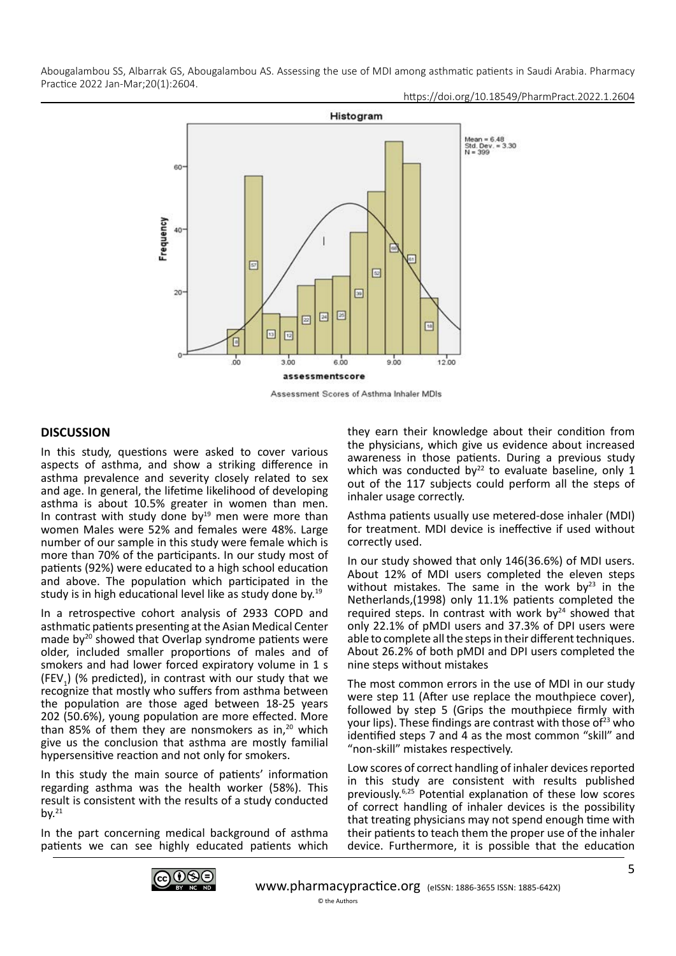https://doi.org/10.18549/PharmPract.2022.1.2604



Assessment Scores of Asthma Inhaler MDIs

## **DISCUSSION**

In this study, questions were asked to cover various aspects of asthma, and show a striking difference in asthma prevalence and severity closely related to sex and age. In general, the lifetime likelihood of developing asthma is about 10.5% greater in women than men. In contrast with study done by $19$  men were more than women Males were 52% and females were 48%. Large number of our sample in this study were female which is more than 70% of the participants. In our study most of patients (92%) were educated to a high school education and above. The population which participated in the study is in high educational level like as study done by.19

In a retrospective cohort analysis of 2933 COPD and asthmatic patients presenting at the Asian Medical Center made by<sup>20</sup> showed that Overlap syndrome patients were older, included smaller proportions of males and of smokers and had lower forced expiratory volume in 1 s (FEV<sub>1</sub>) (% predicted), in contrast with our study that we recognize that mostly who suffers from asthma between the population are those aged between 18-25 years 202 (50.6%), young population are more effected. More than 85% of them they are nonsmokers as in, $20$  which give us the conclusion that asthma are mostly familial hypersensitive reaction and not only for smokers.

In this study the main source of patients' information regarding asthma was the health worker (58%). This result is consistent with the results of a study conducted by. $^{21}$ 

In the part concerning medical background of asthma patients we can see highly educated patients which they earn their knowledge about their condition from the physicians, which give us evidence about increased awareness in those patients. During a previous study which was conducted by $^{22}$  to evaluate baseline, only 1 out of the 117 subjects could perform all the steps of inhaler usage correctly.

Asthma patients usually use metered-dose inhaler (MDI) for treatment. MDI device is ineffective if used without correctly used.

In our study showed that only 146(36.6%) of MDI users. About 12% of MDI users completed the eleven steps without mistakes. The same in the work by $23$  in the Netherlands,(1998) only 11.1% patients completed the required steps. In contrast with work by<sup>24</sup> showed that only 22.1% of pMDI users and 37.3% of DPI users were able to complete all the steps in their different techniques. About 26.2% of both pMDI and DPI users completed the nine steps without mistakes

The most common errors in the use of MDI in our study were step 11 (After use replace the mouthpiece cover), followed by step 5 (Grips the mouthpiece firmly with your lips). These findings are contrast with those of $^{23}$  who identified steps 7 and 4 as the most common "skill" and "non-skill" mistakes respectively.

Low scores of correct handling of inhaler devices reported in this study are consistent with results published previously.6,25 Potential explanation of these low scores of correct handling of inhaler devices is the possibility that treating physicians may not spend enough time with their patients to teach them the proper use of the inhaler device. Furthermore, it is possible that the education

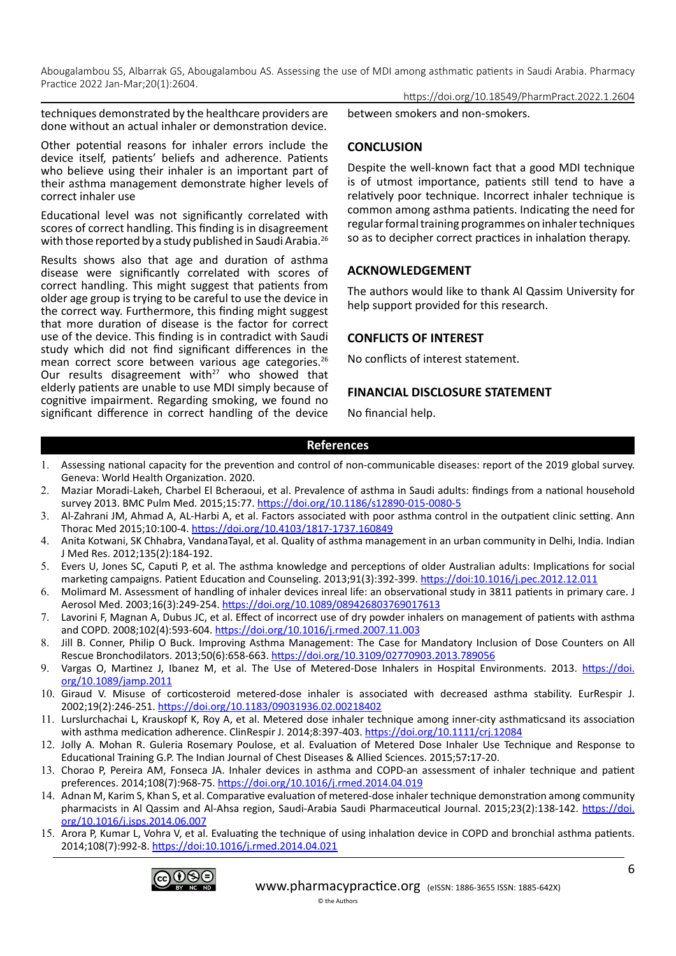techniques demonstrated by the healthcare providers are done without an actual inhaler or demonstration device.

Other potential reasons for inhaler errors include the device itself, patients' beliefs and adherence. Patients who believe using their inhaler is an important part of their asthma management demonstrate higher levels of correct inhaler use

Educational level was not significantly correlated with scores of correct handling. This finding is in disagreement with those reported by a study published in Saudi Arabia.<sup>26</sup>

Results shows also that age and duration of asthma disease were significantly correlated with scores of correct handling. This might suggest that patients from older age group is trying to be careful to use the device in the correct way. Furthermore, this finding might suggest that more duration of disease is the factor for correct use of the device. This finding is in contradict with Saudi study which did not find significant differences in the mean correct score between various age categories.<sup>26</sup> Our results disagreement with $27$  who showed that elderly patients are unable to use MDI simply because of cognitive impairment. Regarding smoking, we found no significant difference in correct handling of the device https://doi.org/10.18549/PharmPract.2022.1.2604

between smokers and non-smokers.

# **CONCLUSION**

Despite the well-known fact that a good MDI technique is of utmost importance, patients still tend to have a relatively poor technique. Incorrect inhaler technique is common among asthma patients. Indicating the need for regular formal training programmes on inhaler techniques so as to decipher correct practices in inhalation therapy.

# **ACKNOWLEDGEMENT**

The authors would like to thank Al Qassim University for help support provided for this research.

## **CONFLICTS OF INTEREST**

No conflicts of interest statement.

#### **FINANCIAL DISCLOSURE STATEMENT**

No financial help.

#### **References**

- 1. [Assessing national capacity for the prevention and control of non-communicable diseases: report of the 2019 global survey.](https://www.who.int/teams/ncds/surveillance/monitoring-capacity/ncdccs) [Geneva: World Health Organization. 2020](https://www.who.int/teams/ncds/surveillance/monitoring-capacity/ncdccs).
- 2. Maziar Moradi-Lakeh, Charbel El Bcheraoui, et al. Prevalence of asthma in Saudi adults: findings from a national household survey 2013. BMC Pulm Med. 2015;15:77. <https://doi.org/10.1186/s12890-015-0080-5>
- 3. Al-Zahrani JM, Ahmad A, AL-Harbi A, et al. Factors associated with poor asthma control in the outpatient clinic setting. Ann Thorac Med 2015;10:100-4. <https://doi.org/10.4103/1817-1737.160849>
- 4. Anita Kotwani, SK Chhabra, VandanaTayal, et al. Quality of asthma management in an urban community in Delhi, India. Indian J Med Res. 2012;135(2):184-192.
- 5. Evers U, Jones SC, Caputi P, et al. The asthma knowledge and perceptions of older Australian adults: Implications for social marketing campaigns. Patient Education and Counseling. 2013;91(3):392-399. <https://doi:10.1016/j.pec.2012.12.011>
- 6. Molimard M. Assessment of handling of inhaler devices inreal life: an observational study in 3811 patients in primary care. J Aerosol Med. 2003;16(3):249-254. <https://doi.org/10.1089/089426803769017613>
- 7. Lavorini F, Magnan A, Dubus JC, et al. Effect of incorrect use of dry powder inhalers on management of patients with asthma and COPD. 2008;102(4):593-604. <https://doi.org/10.1016/j.rmed.2007.11.003>
- 8. Jill B. Conner, Philip O Buck. Improving Asthma Management: The Case for Mandatory Inclusion of Dose Counters on All Rescue Bronchodilators. 2013;50(6):658-663.<https://doi.org/10.3109/02770903.2013.789056>
- 9. Vargas O, Martinez J, Ibanez M, et al. The Use of Metered-Dose Inhalers in Hospital Environments. 2013. [https://doi.](https://doi.org/10.1089/jamp.2011) [org/10.1089/jamp.2011](https://doi.org/10.1089/jamp.2011)
- 10. Giraud V. Misuse of corticosteroid metered-dose inhaler is associated with decreased asthma stability. EurRespir J. 2002;19(2):246-251.<https://doi.org/10.1183/09031936.02.00218402>
- 11. Lurslurchachai L, Krauskopf K, Roy A, et al. Metered dose inhaler technique among inner-city asthmaticsand its association with asthma medication adherence. ClinRespir J. 2014;8:397-403. <https://doi.org/10.1111/crj.12084>
- 12. Jolly A. Mohan R. Guleria Rosemary Poulose, et al. Evaluation of Metered Dose Inhaler Use Technique and Response to Educational Training G.P. The Indian Journal of Chest Diseases & Allied Sciences. 2015;57**:**17-20.
- 13. Chorao P, Pereira AM, Fonseca JA. Inhaler devices in asthma and COPD-an assessment of inhaler technique and patient preferences. 2014;108(7):968-75. <https://doi.org/10.1016/j.rmed.2014.04.019>
- 14. Adnan M, Karim S, Khan S, et al. Comparative evaluation of metered-dose inhaler technique demonstration among community pharmacists in Al Qassim and Al-Ahsa region, Saudi-Arabia Saudi Pharmaceutical Journal. 2015;23(2):138-142. [https://doi.](https://doi.org/10.1016/j.jsps.2014.06.007) [org/10.1016/j.jsps.2014.06.007](https://doi.org/10.1016/j.jsps.2014.06.007)
- 15. Arora P, Kumar L, Vohra V, et al. Evaluating the technique of using inhalation device in COPD and bronchial asthma patients. 2014;108(7):992-8.<https://doi:10.1016/j.rmed.2014.04.021>

© the Authors